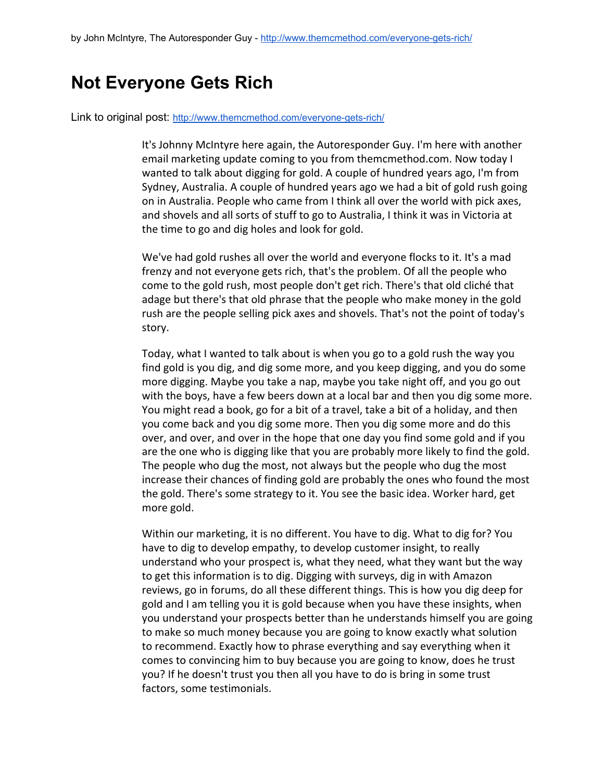## **Not Everyone Gets Rich**

Link to original post: http://www.themcmethod.com/everyone-gets-rich/

It's Johnny McIntyre here again, the Autoresponder Guy. I'm here with another email marketing update coming to you from themcmethod.com. Now today I wanted to talk about digging for gold. A couple of hundred years ago, I'm from Sydney, Australia. A couple of hundred years ago we had a bit of gold rush going on in Australia. People who came from I think all over the world with pick axes, and shovels and all sorts of stuff to go to Australia, I think it was in Victoria at the time to go and dig holes and look for gold.

We've had gold rushes all over the world and everyone flocks to it. It's a mad frenzy and not everyone gets rich, that's the problem. Of all the people who come to the gold rush, most people don't get rich. There's that old cliché that adage but there's that old phrase that the people who make money in the gold rush are the people selling pick axes and shovels. That's not the point of today's story.

Today, what I wanted to talk about is when you go to a gold rush the way you find gold is you dig, and dig some more, and you keep digging, and you do some more digging. Maybe you take a nap, maybe you take night off, and you go out with the boys, have a few beers down at a local bar and then you dig some more. You might read a book, go for a bit of a travel, take a bit of a holiday, and then you come back and you dig some more. Then you dig some more and do this over, and over, and over in the hope that one day you find some gold and if you are the one who is digging like that you are probably more likely to find the gold. The people who dug the most, not always but the people who dug the most increase their chances of finding gold are probably the ones who found the most the gold. There's some strategy to it. You see the basic idea. Worker hard, get more gold.

Within our marketing, it is no different. You have to dig. What to dig for? You have to dig to develop empathy, to develop customer insight, to really understand who your prospect is, what they need, what they want but the way to get this information is to dig. Digging with surveys, dig in with Amazon reviews, go in forums, do all these different things. This is how you dig deep for gold and I am telling you it is gold because when you have these insights, when you understand your prospects better than he understands himself you are going to make so much money because you are going to know exactly what solution to recommend. Exactly how to phrase everything and say everything when it comes to convincing him to buy because you are going to know, does he trust you? If he doesn't trust you then all you have to do is bring in some trust factors, some testimonials.